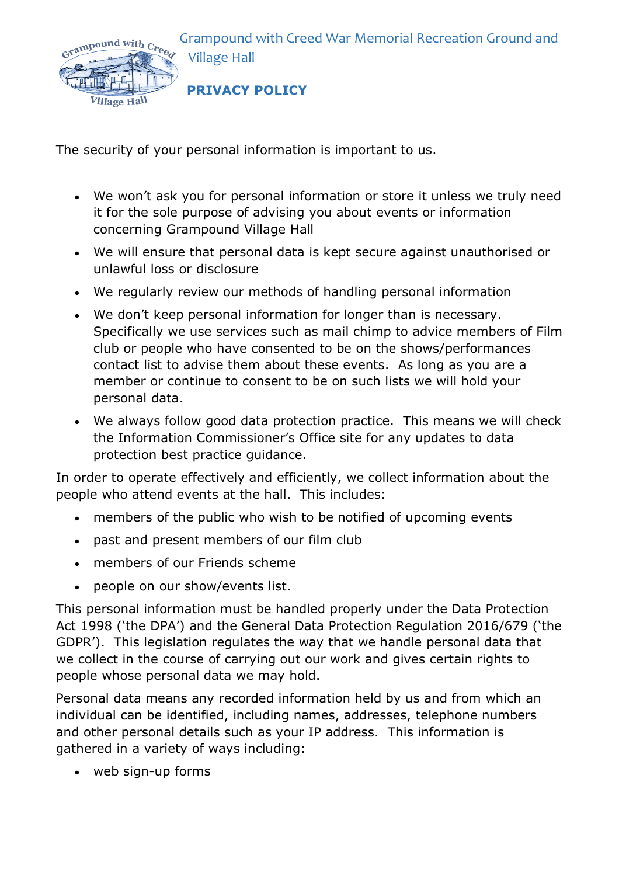Grampound with Creed War Memorial Recreation Ground and Village Hall



**PRIVACY POLICY**

The security of your personal information is important to us.

- We won't ask you for personal information or store it unless we truly need it for the sole purpose of advising you about events or information concerning Grampound Village Hall
- We will ensure that personal data is kept secure against unauthorised or unlawful loss or disclosure
- We regularly review our methods of handling personal information
- We don't keep personal information for longer than is necessary. Specifically we use services such as mail chimp to advice members of Film club or people who have consented to be on the shows/performances contact list to advise them about these events. As long as you are a member or continue to consent to be on such lists we will hold your personal data.
- We always follow good data protection practice. This means we will check the Information Commissioner's Office site for any updates to data protection best practice guidance.

In order to operate effectively and efficiently, we collect information about the people who attend events at the hall. This includes:

- members of the public who wish to be notified of upcoming events
- past and present members of our film club
- members of our Friends scheme
- people on our show/events list.

This personal information must be handled properly under the Data Protection Act 1998 ('the DPA') and the General Data Protection Regulation 2016/679 ('the GDPR'). This legislation regulates the way that we handle personal data that we collect in the course of carrying out our work and gives certain rights to people whose personal data we may hold.

Personal data means any recorded information held by us and from which an individual can be identified, including names, addresses, telephone numbers and other personal details such as your IP address. This information is gathered in a variety of ways including:

• web sign-up forms